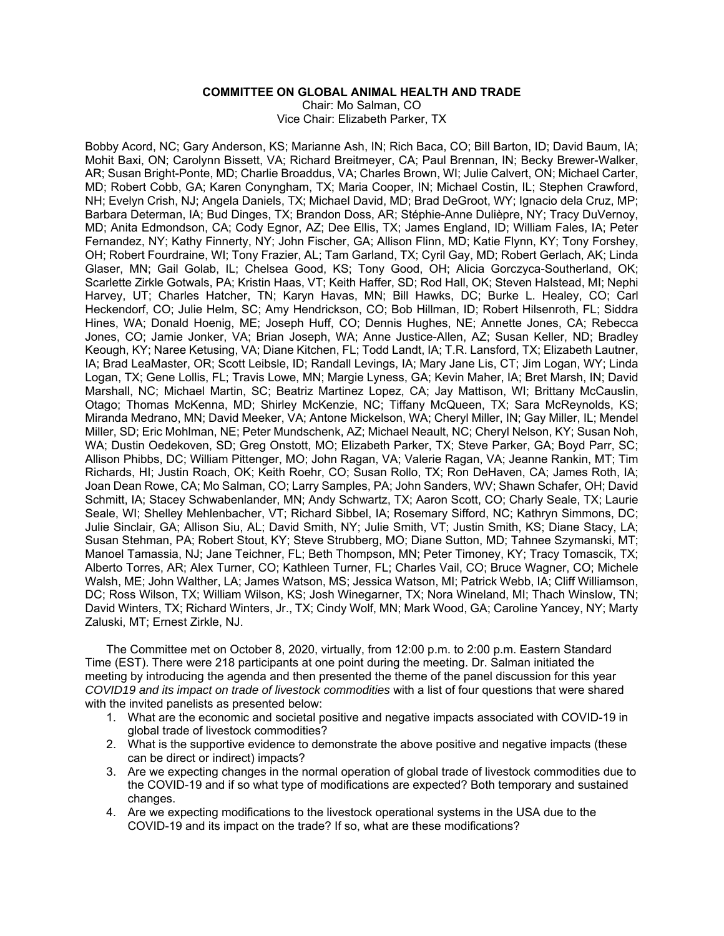# **COMMITTEE ON GLOBAL ANIMAL HEALTH AND TRADE**

Chair: Mo Salman, CO Vice Chair: Elizabeth Parker, TX

Bobby Acord, NC; Gary Anderson, KS; Marianne Ash, IN; Rich Baca, CO; Bill Barton, ID; David Baum, IA; Mohit Baxi, ON; Carolynn Bissett, VA; Richard Breitmeyer, CA; Paul Brennan, IN; Becky Brewer-Walker, AR; Susan Bright-Ponte, MD; Charlie Broaddus, VA; Charles Brown, WI; Julie Calvert, ON; Michael Carter, MD; Robert Cobb, GA; Karen Conyngham, TX; Maria Cooper, IN; Michael Costin, IL; Stephen Crawford, NH; Evelyn Crish, NJ; Angela Daniels, TX; Michael David, MD; Brad DeGroot, WY; Ignacio dela Cruz, MP; Barbara Determan, IA; Bud Dinges, TX; Brandon Doss, AR; Stéphie-Anne Dulièpre, NY; Tracy DuVernoy, MD; Anita Edmondson, CA; Cody Egnor, AZ; Dee Ellis, TX; James England, ID; William Fales, IA; Peter Fernandez, NY; Kathy Finnerty, NY; John Fischer, GA; Allison Flinn, MD; Katie Flynn, KY; Tony Forshey, OH; Robert Fourdraine, WI; Tony Frazier, AL; Tam Garland, TX; Cyril Gay, MD; Robert Gerlach, AK; Linda Glaser, MN; Gail Golab, IL; Chelsea Good, KS; Tony Good, OH; Alicia Gorczyca-Southerland, OK; Scarlette Zirkle Gotwals, PA; Kristin Haas, VT; Keith Haffer, SD; Rod Hall, OK; Steven Halstead, MI; Nephi Harvey, UT; Charles Hatcher, TN; Karyn Havas, MN; Bill Hawks, DC; Burke L. Healey, CO; Carl Heckendorf, CO; Julie Helm, SC; Amy Hendrickson, CO; Bob Hillman, ID; Robert Hilsenroth, FL; Siddra Hines, WA; Donald Hoenig, ME; Joseph Huff, CO; Dennis Hughes, NE; Annette Jones, CA; Rebecca Jones, CO; Jamie Jonker, VA; Brian Joseph, WA; Anne Justice-Allen, AZ; Susan Keller, ND; Bradley Keough, KY; Naree Ketusing, VA; Diane Kitchen, FL; Todd Landt, IA; T.R. Lansford, TX; Elizabeth Lautner, IA; Brad LeaMaster, OR; Scott Leibsle, ID; Randall Levings, IA; Mary Jane Lis, CT; Jim Logan, WY; Linda Logan, TX; Gene Lollis, FL; Travis Lowe, MN; Margie Lyness, GA; Kevin Maher, IA; Bret Marsh, IN; David Marshall, NC; Michael Martin, SC; Beatriz Martinez Lopez, CA; Jay Mattison, WI; Brittany McCauslin, Otago; Thomas McKenna, MD; Shirley McKenzie, NC; Tiffany McQueen, TX; Sara McReynolds, KS; Miranda Medrano, MN; David Meeker, VA; Antone Mickelson, WA; Cheryl Miller, IN; Gay Miller, IL; Mendel Miller, SD; Eric Mohlman, NE; Peter Mundschenk, AZ; Michael Neault, NC; Cheryl Nelson, KY; Susan Noh, WA; Dustin Oedekoven, SD; Greg Onstott, MO; Elizabeth Parker, TX; Steve Parker, GA; Boyd Parr, SC; Allison Phibbs, DC; William Pittenger, MO; John Ragan, VA; Valerie Ragan, VA; Jeanne Rankin, MT; Tim Richards, HI; Justin Roach, OK; Keith Roehr, CO; Susan Rollo, TX; Ron DeHaven, CA; James Roth, IA; Joan Dean Rowe, CA; Mo Salman, CO; Larry Samples, PA; John Sanders, WV; Shawn Schafer, OH; David Schmitt, IA; Stacey Schwabenlander, MN; Andy Schwartz, TX; Aaron Scott, CO; Charly Seale, TX; Laurie Seale, WI; Shelley Mehlenbacher, VT; Richard Sibbel, IA; Rosemary Sifford, NC; Kathryn Simmons, DC; Julie Sinclair, GA; Allison Siu, AL; David Smith, NY; Julie Smith, VT; Justin Smith, KS; Diane Stacy, LA; Susan Stehman, PA; Robert Stout, KY; Steve Strubberg, MO; Diane Sutton, MD; Tahnee Szymanski, MT; Manoel Tamassia, NJ; Jane Teichner, FL; Beth Thompson, MN; Peter Timoney, KY; Tracy Tomascik, TX; Alberto Torres, AR; Alex Turner, CO; Kathleen Turner, FL; Charles Vail, CO; Bruce Wagner, CO; Michele Walsh, ME; John Walther, LA; James Watson, MS; Jessica Watson, MI; Patrick Webb, IA; Cliff Williamson, DC; Ross Wilson, TX; William Wilson, KS; Josh Winegarner, TX; Nora Wineland, MI; Thach Winslow, TN; David Winters, TX; Richard Winters, Jr., TX; Cindy Wolf, MN; Mark Wood, GA; Caroline Yancey, NY; Marty Zaluski, MT; Ernest Zirkle, NJ.

The Committee met on October 8, 2020, virtually, from 12:00 p.m. to 2:00 p.m. Eastern Standard Time (EST). There were 218 participants at one point during the meeting. Dr. Salman initiated the meeting by introducing the agenda and then presented the theme of the panel discussion for this year *COVID19 and its impact on trade of livestock commodities* with a list of four questions that were shared with the invited panelists as presented below:

- 1. What are the economic and societal positive and negative impacts associated with COVID-19 in global trade of livestock commodities?
- 2. What is the supportive evidence to demonstrate the above positive and negative impacts (these can be direct or indirect) impacts?
- 3. Are we expecting changes in the normal operation of global trade of livestock commodities due to the COVID-19 and if so what type of modifications are expected? Both temporary and sustained changes.
- 4. Are we expecting modifications to the livestock operational systems in the USA due to the COVID-19 and its impact on the trade? If so, what are these modifications?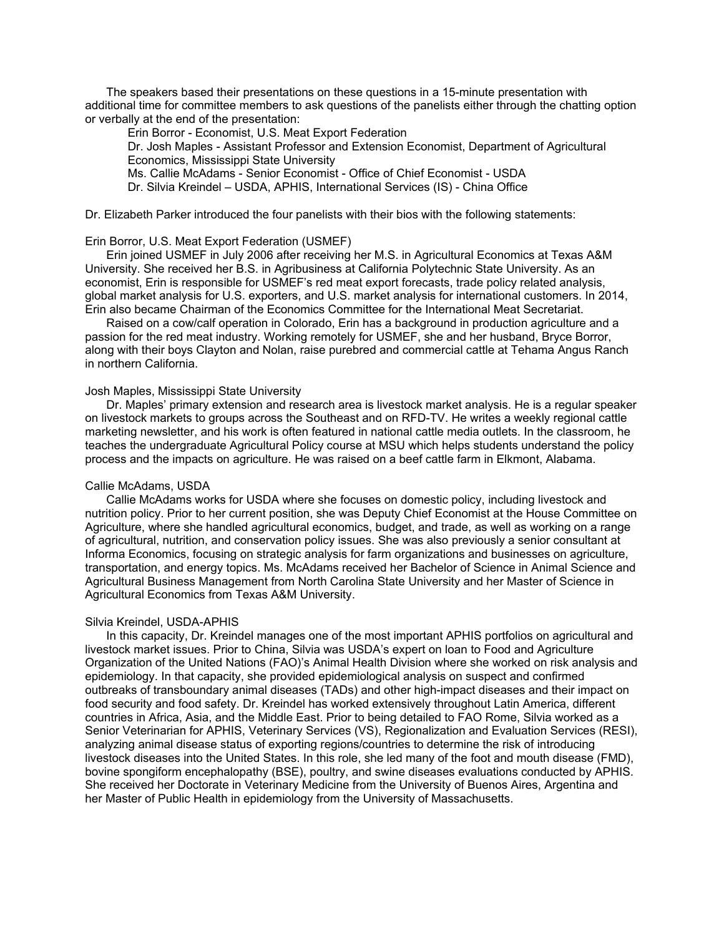The speakers based their presentations on these questions in a 15-minute presentation with additional time for committee members to ask questions of the panelists either through the chatting option or verbally at the end of the presentation:

Erin Borror - Economist, U.S. Meat Export Federation

Dr. Josh Maples - Assistant Professor and Extension Economist, Department of Agricultural Economics, Mississippi State University

Ms. Callie McAdams - Senior Economist - Office of Chief Economist - USDA

Dr. Silvia Kreindel – USDA, APHIS, International Services (IS) - China Office

Dr. Elizabeth Parker introduced the four panelists with their bios with the following statements:

## Erin Borror, U.S. Meat Export Federation (USMEF)

Erin joined USMEF in July 2006 after receiving her M.S. in Agricultural Economics at Texas A&M University. She received her B.S. in Agribusiness at California Polytechnic State University. As an economist, Erin is responsible for USMEF's red meat export forecasts, trade policy related analysis, global market analysis for U.S. exporters, and U.S. market analysis for international customers. In 2014, Erin also became Chairman of the Economics Committee for the International Meat Secretariat.

Raised on a cow/calf operation in Colorado, Erin has a background in production agriculture and a passion for the red meat industry. Working remotely for USMEF, she and her husband, Bryce Borror, along with their boys Clayton and Nolan, raise purebred and commercial cattle at Tehama Angus Ranch in northern California.

#### Josh Maples, Mississippi State University

Dr. Maples' primary extension and research area is livestock market analysis. He is a regular speaker on livestock markets to groups across the Southeast and on RFD-TV. He writes a weekly regional cattle marketing newsletter, and his work is often featured in national cattle media outlets. In the classroom, he teaches the undergraduate Agricultural Policy course at MSU which helps students understand the policy process and the impacts on agriculture. He was raised on a beef cattle farm in Elkmont, Alabama.

## Callie McAdams, USDA

Callie McAdams works for USDA where she focuses on domestic policy, including livestock and nutrition policy. Prior to her current position, she was Deputy Chief Economist at the House Committee on Agriculture, where she handled agricultural economics, budget, and trade, as well as working on a range of agricultural, nutrition, and conservation policy issues. She was also previously a senior consultant at Informa Economics, focusing on strategic analysis for farm organizations and businesses on agriculture, transportation, and energy topics. Ms. McAdams received her Bachelor of Science in Animal Science and Agricultural Business Management from North Carolina State University and her Master of Science in Agricultural Economics from Texas A&M University.

#### Silvia Kreindel, USDA-APHIS

In this capacity, Dr. Kreindel manages one of the most important APHIS portfolios on agricultural and livestock market issues. Prior to China, Silvia was USDA's expert on loan to Food and Agriculture Organization of the United Nations (FAO)'s Animal Health Division where she worked on risk analysis and epidemiology. In that capacity, she provided epidemiological analysis on suspect and confirmed outbreaks of transboundary animal diseases (TADs) and other high-impact diseases and their impact on food security and food safety. Dr. Kreindel has worked extensively throughout Latin America, different countries in Africa, Asia, and the Middle East. Prior to being detailed to FAO Rome, Silvia worked as a Senior Veterinarian for APHIS, Veterinary Services (VS), Regionalization and Evaluation Services (RESI), analyzing animal disease status of exporting regions/countries to determine the risk of introducing livestock diseases into the United States. In this role, she led many of the foot and mouth disease (FMD), bovine spongiform encephalopathy (BSE), poultry, and swine diseases evaluations conducted by APHIS. She received her Doctorate in Veterinary Medicine from the University of Buenos Aires, Argentina and her Master of Public Health in epidemiology from the University of Massachusetts.